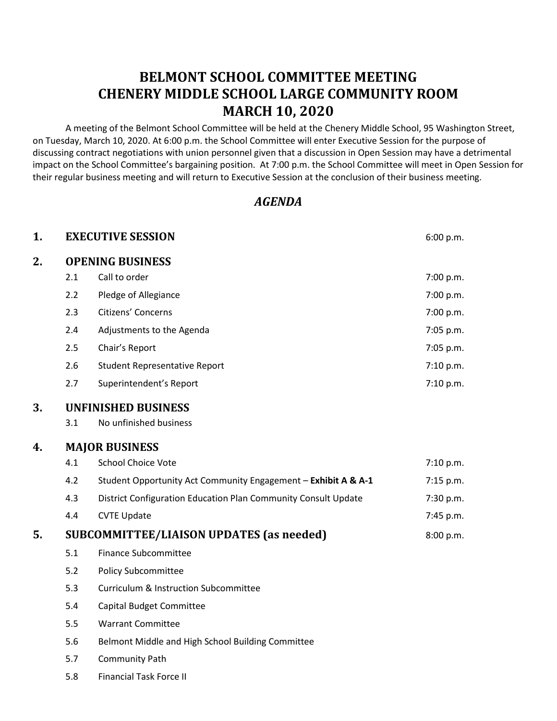# **BELMONT SCHOOL COMMITTEE MEETING CHENERY MIDDLE SCHOOL LARGE COMMUNITY ROOM MARCH 10, 2020**

A meeting of the Belmont School Committee will be held at the Chenery Middle School, 95 Washington Street, on Tuesday, March 10, 2020. At 6:00 p.m. the School Committee will enter Executive Session for the purpose of discussing contract negotiations with union personnel given that a discussion in Open Session may have a detrimental impact on the School Committee's bargaining position. At 7:00 p.m. the School Committee will meet in Open Session for their regular business meeting and will return to Executive Session at the conclusion of their business meeting.

# *AGENDA*

| 1. |                                                 | <b>EXECUTIVE SESSION</b>                                       | 6:00 p.m.   |
|----|-------------------------------------------------|----------------------------------------------------------------|-------------|
| 2. | <b>OPENING BUSINESS</b>                         |                                                                |             |
|    | 2.1                                             | Call to order                                                  | 7:00 p.m.   |
|    | 2.2                                             | Pledge of Allegiance                                           | 7:00 p.m.   |
|    | 2.3                                             | Citizens' Concerns                                             | 7:00 p.m.   |
|    | 2.4                                             | Adjustments to the Agenda                                      | 7:05 p.m.   |
|    | 2.5                                             | Chair's Report                                                 | 7:05 p.m.   |
|    | 2.6                                             | <b>Student Representative Report</b>                           | 7:10 p.m.   |
|    | 2.7                                             | Superintendent's Report                                        | 7:10 p.m.   |
| 3. | <b>UNFINISHED BUSINESS</b>                      |                                                                |             |
|    | 3.1                                             | No unfinished business                                         |             |
| 4. | <b>MAJOR BUSINESS</b>                           |                                                                |             |
|    | 4.1                                             | <b>School Choice Vote</b>                                      | 7:10 p.m.   |
|    | 4.2                                             | Student Opportunity Act Community Engagement - Exhibit A & A-1 | $7:15$ p.m. |
|    | 4.3                                             | District Configuration Education Plan Community Consult Update | 7:30 p.m.   |
|    | 4.4                                             | <b>CVTE Update</b>                                             | 7:45 p.m.   |
| 5. | <b>SUBCOMMITTEE/LIAISON UPDATES (as needed)</b> |                                                                | 8:00 p.m.   |
|    | 5.1                                             | <b>Finance Subcommittee</b>                                    |             |
|    | 5.2                                             | <b>Policy Subcommittee</b>                                     |             |
|    | 5.3                                             | <b>Curriculum &amp; Instruction Subcommittee</b>               |             |
|    | 5.4                                             | <b>Capital Budget Committee</b>                                |             |
|    | 5.5                                             | <b>Warrant Committee</b>                                       |             |
|    | 5.6                                             | Belmont Middle and High School Building Committee              |             |
|    | 5.7                                             | Community Path                                                 |             |
|    | 5.8                                             | <b>Financial Task Force II</b>                                 |             |